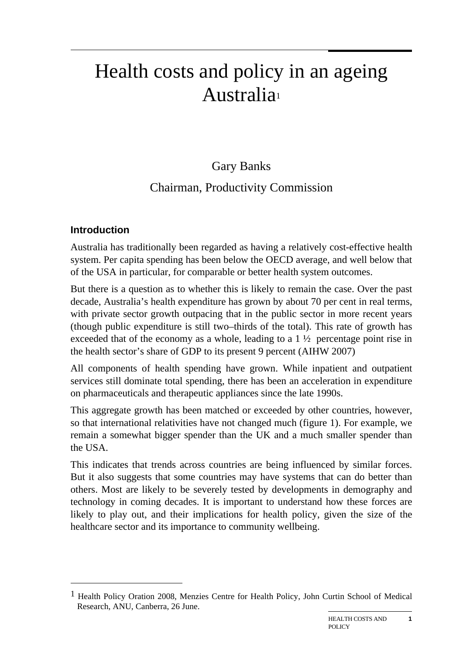# Health costs and policy in an ageing Australia1

# Gary Banks

# Chairman, Productivity Commission

# **Introduction**

 $\overline{a}$ 

Australia has traditionally been regarded as having a relatively cost-effective health system. Per capita spending has been below the OECD average, and well below that of the USA in particular, for comparable or better health system outcomes.

But there is a question as to whether this is likely to remain the case. Over the past decade, Australia's health expenditure has grown by about 70 per cent in real terms, with private sector growth outpacing that in the public sector in more recent years (though public expenditure is still two–thirds of the total). This rate of growth has exceeded that of the economy as a whole, leading to a  $1\frac{1}{2}$  percentage point rise in the health sector's share of GDP to its present 9 percent (AIHW 2007)

All components of health spending have grown. While inpatient and outpatient services still dominate total spending, there has been an acceleration in expenditure on pharmaceuticals and therapeutic appliances since the late 1990s.

This aggregate growth has been matched or exceeded by other countries, however, so that international relativities have not changed much (figure 1). For example, we remain a somewhat bigger spender than the UK and a much smaller spender than the USA.

This indicates that trends across countries are being influenced by similar forces. But it also suggests that some countries may have systems that can do better than others. Most are likely to be severely tested by developments in demography and technology in coming decades. It is important to understand how these forces are likely to play out, and their implications for health policy, given the size of the healthcare sector and its importance to community wellbeing.

<sup>1</sup> Health Policy Oration 2008, Menzies Centre for Health Policy, John Curtin School of Medical Research, ANU, Canberra, 26 June.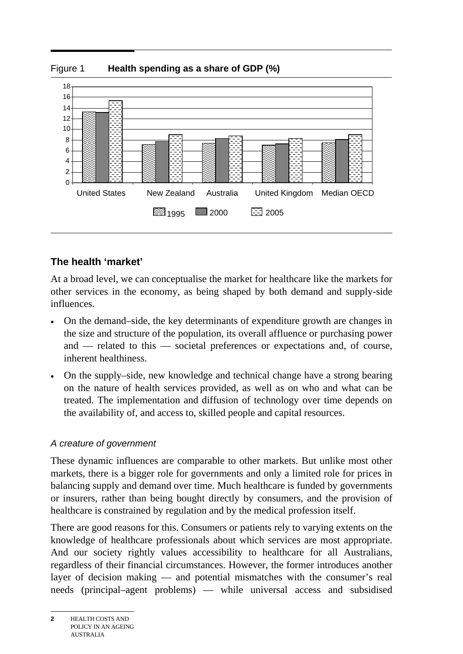



# **The health 'market'**

At a broad level, we can conceptualise the market for healthcare like the markets for other services in the economy, as being shaped by both demand and supply-side influences.

- On the demand–side, the key determinants of expenditure growth are changes in the size and structure of the population, its overall affluence or purchasing power and — related to this — societal preferences or expectations and, of course, inherent healthiness.
- On the supply–side, new knowledge and technical change have a strong bearing on the nature of health services provided, as well as on who and what can be treated. The implementation and diffusion of technology over time depends on the availability of, and access to, skilled people and capital resources.

# *A creature of government*

These dynamic influences are comparable to other markets. But unlike most other markets, there is a bigger role for governments and only a limited role for prices in balancing supply and demand over time. Much healthcare is funded by governments or insurers, rather than being bought directly by consumers, and the provision of healthcare is constrained by regulation and by the medical profession itself.

There are good reasons for this. Consumers or patients rely to varying extents on the knowledge of healthcare professionals about which services are most appropriate. And our society rightly values accessibility to healthcare for all Australians, regardless of their financial circumstances. However, the former introduces another layer of decision making — and potential mismatches with the consumer's real needs (principal–agent problems) — while universal access and subsidised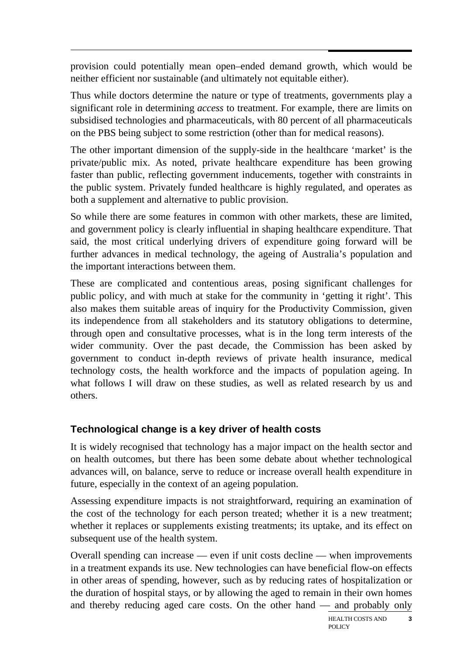provision could potentially mean open–ended demand growth, which would be neither efficient nor sustainable (and ultimately not equitable either).

Thus while doctors determine the nature or type of treatments, governments play a significant role in determining *access* to treatment. For example, there are limits on subsidised technologies and pharmaceuticals, with 80 percent of all pharmaceuticals on the PBS being subject to some restriction (other than for medical reasons).

The other important dimension of the supply-side in the healthcare 'market' is the private/public mix. As noted, private healthcare expenditure has been growing faster than public, reflecting government inducements, together with constraints in the public system. Privately funded healthcare is highly regulated, and operates as both a supplement and alternative to public provision.

So while there are some features in common with other markets, these are limited, and government policy is clearly influential in shaping healthcare expenditure. That said, the most critical underlying drivers of expenditure going forward will be further advances in medical technology, the ageing of Australia's population and the important interactions between them.

These are complicated and contentious areas, posing significant challenges for public policy, and with much at stake for the community in 'getting it right'. This also makes them suitable areas of inquiry for the Productivity Commission, given its independence from all stakeholders and its statutory obligations to determine, through open and consultative processes, what is in the long term interests of the wider community. Over the past decade, the Commission has been asked by government to conduct in-depth reviews of private health insurance, medical technology costs, the health workforce and the impacts of population ageing. In what follows I will draw on these studies, as well as related research by us and others.

# **Technological change is a key driver of health costs**

It is widely recognised that technology has a major impact on the health sector and on health outcomes, but there has been some debate about whether technological advances will, on balance, serve to reduce or increase overall health expenditure in future, especially in the context of an ageing population.

Assessing expenditure impacts is not straightforward, requiring an examination of the cost of the technology for each person treated; whether it is a new treatment; whether it replaces or supplements existing treatments; its uptake, and its effect on subsequent use of the health system.

Overall spending can increase — even if unit costs decline — when improvements in a treatment expands its use. New technologies can have beneficial flow-on effects in other areas of spending, however, such as by reducing rates of hospitalization or the duration of hospital stays, or by allowing the aged to remain in their own homes and thereby reducing aged care costs. On the other hand — and probably only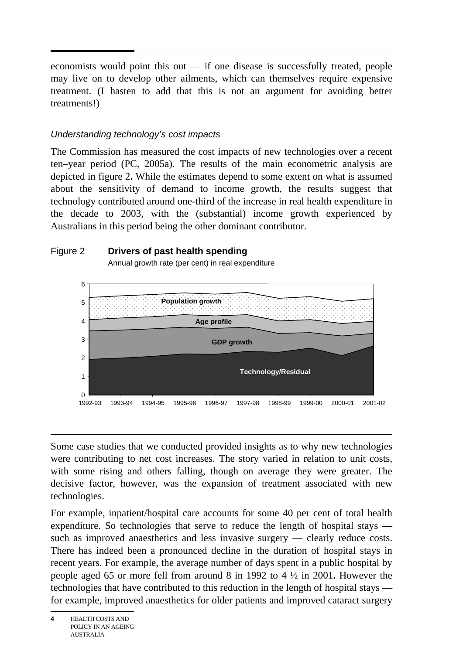economists would point this out — if one disease is successfully treated, people may live on to develop other ailments, which can themselves require expensive treatment. (I hasten to add that this is not an argument for avoiding better treatments!)

## *Understanding technology's cost impacts*

The Commission has measured the cost impacts of new technologies over a recent ten–year period (PC, 2005a). The results of the main econometric analysis are depicted in figure 2**.** While the estimates depend to some extent on what is assumed about the sensitivity of demand to income growth, the results suggest that technology contributed around one-third of the increase in real health expenditure in the decade to 2003, with the (substantial) income growth experienced by Australians in this period being the other dominant contributor.





Annual growth rate (per cent) in real expenditure

Some case studies that we conducted provided insights as to why new technologies were contributing to net cost increases. The story varied in relation to unit costs, with some rising and others falling, though on average they were greater. The decisive factor, however, was the expansion of treatment associated with new technologies.

For example, inpatient/hospital care accounts for some 40 per cent of total health expenditure. So technologies that serve to reduce the length of hospital stays such as improved anaesthetics and less invasive surgery — clearly reduce costs. There has indeed been a pronounced decline in the duration of hospital stays in recent years. For example, the average number of days spent in a public hospital by people aged 65 or more fell from around 8 in 1992 to 4 ½ in 2001**.** However the technologies that have contributed to this reduction in the length of hospital stays for example, improved anaesthetics for older patients and improved cataract surgery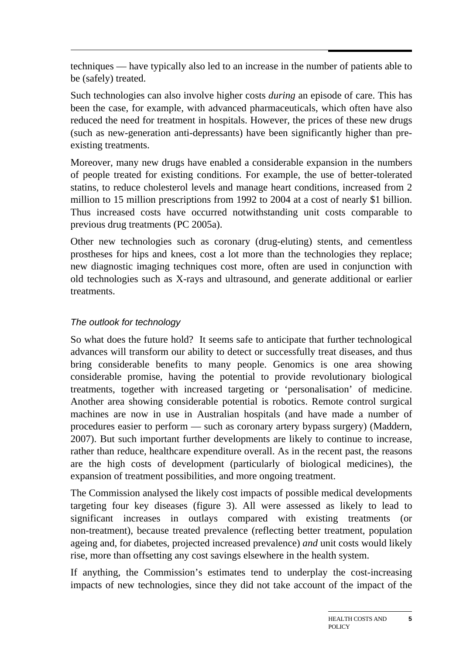techniques — have typically also led to an increase in the number of patients able to be (safely) treated.

Such technologies can also involve higher costs *during* an episode of care. This has been the case, for example, with advanced pharmaceuticals, which often have also reduced the need for treatment in hospitals. However, the prices of these new drugs (such as new-generation anti-depressants) have been significantly higher than preexisting treatments.

Moreover, many new drugs have enabled a considerable expansion in the numbers of people treated for existing conditions. For example, the use of better-tolerated statins, to reduce cholesterol levels and manage heart conditions, increased from 2 million to 15 million prescriptions from 1992 to 2004 at a cost of nearly \$1 billion. Thus increased costs have occurred notwithstanding unit costs comparable to previous drug treatments (PC 2005a).

Other new technologies such as coronary (drug-eluting) stents, and cementless prostheses for hips and knees, cost a lot more than the technologies they replace; new diagnostic imaging techniques cost more, often are used in conjunction with old technologies such as X-rays and ultrasound, and generate additional or earlier treatments.

## *The outlook for technology*

So what does the future hold? It seems safe to anticipate that further technological advances will transform our ability to detect or successfully treat diseases, and thus bring considerable benefits to many people. Genomics is one area showing considerable promise, having the potential to provide revolutionary biological treatments, together with increased targeting or 'personalisation' of medicine. Another area showing considerable potential is robotics. Remote control surgical machines are now in use in Australian hospitals (and have made a number of procedures easier to perform — such as coronary artery bypass surgery) (Maddern, 2007). But such important further developments are likely to continue to increase, rather than reduce, healthcare expenditure overall. As in the recent past, the reasons are the high costs of development (particularly of biological medicines), the expansion of treatment possibilities, and more ongoing treatment.

The Commission analysed the likely cost impacts of possible medical developments targeting four key diseases (figure 3). All were assessed as likely to lead to significant increases in outlays compared with existing treatments (or non-treatment), because treated prevalence (reflecting better treatment, population ageing and, for diabetes, projected increased prevalence) *and* unit costs would likely rise, more than offsetting any cost savings elsewhere in the health system.

If anything, the Commission's estimates tend to underplay the cost-increasing impacts of new technologies, since they did not take account of the impact of the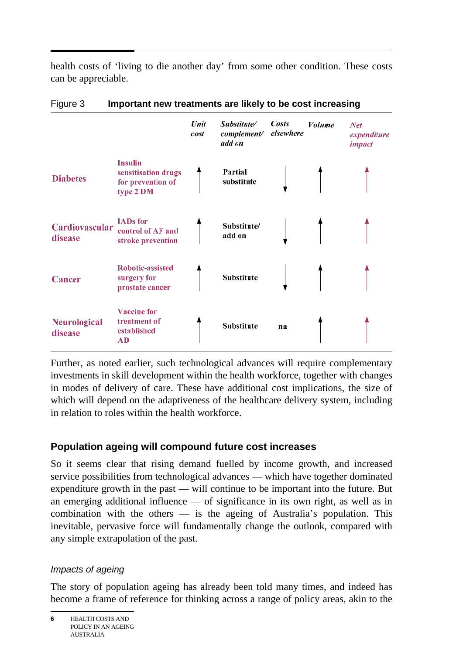$\overline{a}$ health costs of 'living to die another day' from some other condition. These costs can be appreciable.

|                                |                                                                         | Unit<br>cost | Substitute/<br>complement/<br>add on | Costs<br>elsewhere | Volume | <b>Net</b><br>expenditure<br><i>impact</i> |
|--------------------------------|-------------------------------------------------------------------------|--------------|--------------------------------------|--------------------|--------|--------------------------------------------|
| <b>Diabetes</b>                | <b>Insulin</b><br>sensitisation drugs<br>for prevention of<br>type 2 DM |              | Partial<br>substitute                |                    |        |                                            |
| Cardiovascular<br>disease      | <b>IADs</b> for<br>control of AF and<br>stroke prevention               |              | Substitute/<br>add on                |                    |        |                                            |
| <b>Cancer</b>                  | Robotic-assisted<br>surgery for<br>prostate cancer                      |              | Substitute                           |                    |        |                                            |
| <b>Neurological</b><br>disease | <b>Vaccine</b> for<br>treatment of<br>established<br><b>AD</b>          |              | Substitute                           | na                 |        |                                            |

#### Figure 3 **Important new treatments are likely to be cost increasing**

Further, as noted earlier, such technological advances will require complementary investments in skill development within the health workforce, together with changes in modes of delivery of care. These have additional cost implications, the size of which will depend on the adaptiveness of the healthcare delivery system, including in relation to roles within the health workforce.

# **Population ageing will compound future cost increases**

So it seems clear that rising demand fuelled by income growth, and increased service possibilities from technological advances — which have together dominated expenditure growth in the past — will continue to be important into the future. But an emerging additional influence — of significance in its own right, as well as in combination with the others — is the ageing of Australia's population. This inevitable, pervasive force will fundamentally change the outlook, compared with any simple extrapolation of the past.

# *Impacts of ageing*

The story of population ageing has already been told many times, and indeed has become a frame of reference for thinking across a range of policy areas, akin to the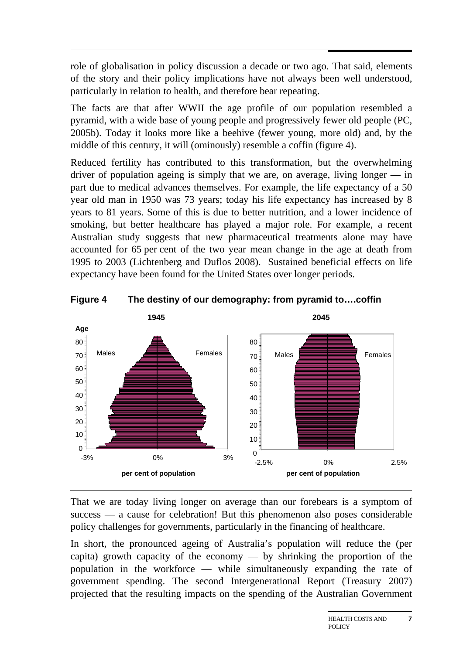role of globalisation in policy discussion a decade or two ago. That said, elements of the story and their policy implications have not always been well understood, particularly in relation to health, and therefore bear repeating.

The facts are that after WWII the age profile of our population resembled a pyramid, with a wide base of young people and progressively fewer old people (PC, 2005b). Today it looks more like a beehive (fewer young, more old) and, by the middle of this century, it will (ominously) resemble a coffin (figure 4).

Reduced fertility has contributed to this transformation, but the overwhelming driver of population ageing is simply that we are, on average, living longer — in part due to medical advances themselves. For example, the life expectancy of a 50 year old man in 1950 was 73 years; today his life expectancy has increased by 8 years to 81 years. Some of this is due to better nutrition, and a lower incidence of smoking, but better healthcare has played a major role. For example, a recent Australian study suggests that new pharmaceutical treatments alone may have accounted for 65 per cent of the two year mean change in the age at death from 1995 to 2003 (Lichtenberg and Duflos 2008). Sustained beneficial effects on life expectancy have been found for the United States over longer periods.



**Figure 4 The destiny of our demography: from pyramid to….coffin** 

That we are today living longer on average than our forebears is a symptom of success — a cause for celebration! But this phenomenon also poses considerable policy challenges for governments, particularly in the financing of healthcare.

In short, the pronounced ageing of Australia's population will reduce the (per capita) growth capacity of the economy — by shrinking the proportion of the population in the workforce — while simultaneously expanding the rate of government spending. The second Intergenerational Report (Treasury 2007) projected that the resulting impacts on the spending of the Australian Government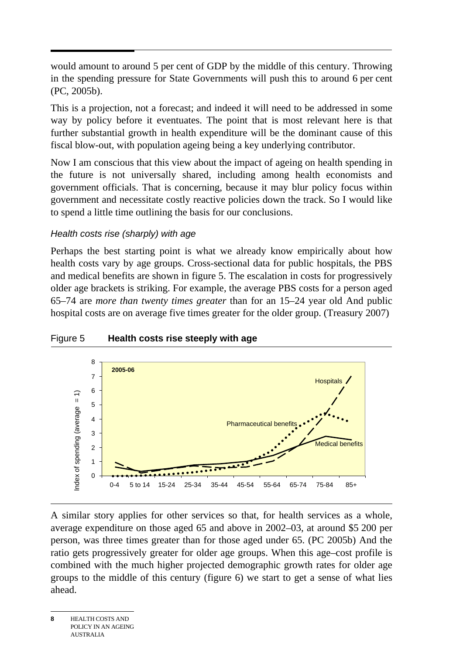would amount to around 5 per cent of GDP by the middle of this century. Throwing in the spending pressure for State Governments will push this to around 6 per cent (PC, 2005b).

This is a projection, not a forecast; and indeed it will need to be addressed in some way by policy before it eventuates. The point that is most relevant here is that further substantial growth in health expenditure will be the dominant cause of this fiscal blow-out, with population ageing being a key underlying contributor.

Now I am conscious that this view about the impact of ageing on health spending in the future is not universally shared, including among health economists and government officials. That is concerning, because it may blur policy focus within government and necessitate costly reactive policies down the track. So I would like to spend a little time outlining the basis for our conclusions.

# *Health costs rise (sharply) with age*

Perhaps the best starting point is what we already know empirically about how health costs vary by age groups. Cross-sectional data for public hospitals, the PBS and medical benefits are shown in figure 5. The escalation in costs for progressively older age brackets is striking. For example, the average PBS costs for a person aged 65–74 are *more than twenty times greater* than for an 15–24 year old And public hospital costs are on average five times greater for the older group. (Treasury 2007)



# Figure 5 **Health costs rise steeply with age**

A similar story applies for other services so that, for health services as a whole, average expenditure on those aged 65 and above in 2002–03, at around \$5 200 per person, was three times greater than for those aged under 65. (PC 2005b) And the ratio gets progressively greater for older age groups. When this age–cost profile is combined with the much higher projected demographic growth rates for older age groups to the middle of this century (figure 6) we start to get a sense of what lies ahead.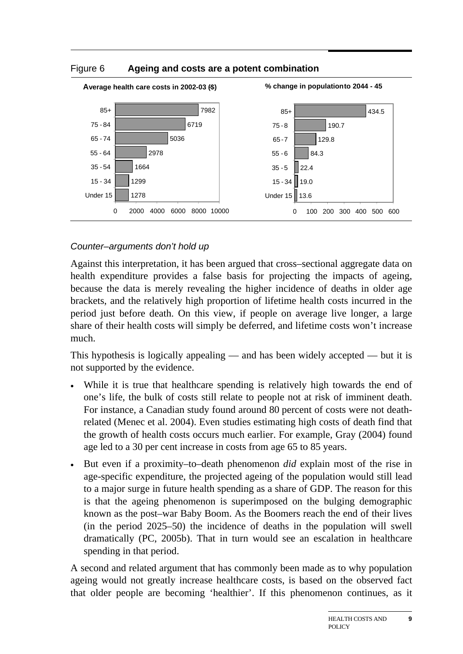

#### Figure 6 **Ageing and costs are a potent combination**

## *Counter–arguments don't hold up*

Against this interpretation, it has been argued that cross–sectional aggregate data on health expenditure provides a false basis for projecting the impacts of ageing, because the data is merely revealing the higher incidence of deaths in older age brackets, and the relatively high proportion of lifetime health costs incurred in the period just before death. On this view, if people on average live longer, a large share of their health costs will simply be deferred, and lifetime costs won't increase much.

This hypothesis is logically appealing — and has been widely accepted — but it is not supported by the evidence.

- While it is true that healthcare spending is relatively high towards the end of one's life, the bulk of costs still relate to people not at risk of imminent death. For instance, a Canadian study found around 80 percent of costs were not deathrelated (Menec et al. 2004). Even studies estimating high costs of death find that the growth of health costs occurs much earlier. For example, Gray (2004) found age led to a 30 per cent increase in costs from age 65 to 85 years.
- But even if a proximity–to–death phenomenon *did* explain most of the rise in age-specific expenditure, the projected ageing of the population would still lead to a major surge in future health spending as a share of GDP. The reason for this is that the ageing phenomenon is superimposed on the bulging demographic known as the post–war Baby Boom. As the Boomers reach the end of their lives (in the period 2025–50) the incidence of deaths in the population will swell dramatically (PC, 2005b). That in turn would see an escalation in healthcare spending in that period.

A second and related argument that has commonly been made as to why population ageing would not greatly increase healthcare costs, is based on the observed fact that older people are becoming 'healthier'. If this phenomenon continues, as it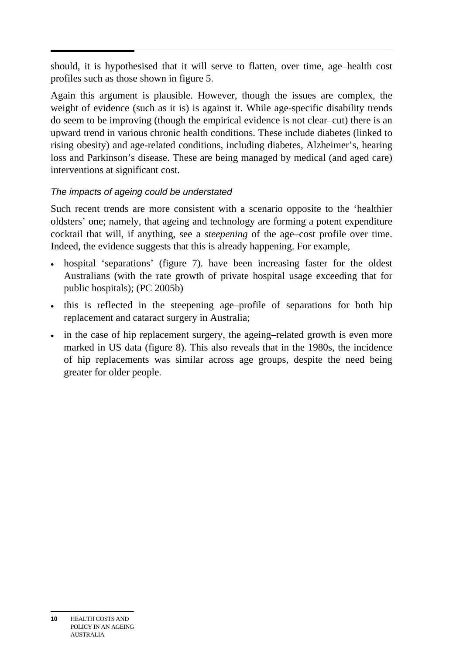should, it is hypothesised that it will serve to flatten, over time, age–health cost profiles such as those shown in figure 5.

Again this argument is plausible. However, though the issues are complex, the weight of evidence (such as it is) is against it. While age-specific disability trends do seem to be improving (though the empirical evidence is not clear–cut) there is an upward trend in various chronic health conditions. These include diabetes (linked to rising obesity) and age-related conditions, including diabetes, Alzheimer's, hearing loss and Parkinson's disease. These are being managed by medical (and aged care) interventions at significant cost.

# *The impacts of ageing could be understated*

Such recent trends are more consistent with a scenario opposite to the 'healthier oldsters' one; namely, that ageing and technology are forming a potent expenditure cocktail that will, if anything, see a *steepening* of the age–cost profile over time. Indeed, the evidence suggests that this is already happening. For example,

- hospital 'separations' (figure 7). have been increasing faster for the oldest Australians (with the rate growth of private hospital usage exceeding that for public hospitals); (PC 2005b)
- this is reflected in the steepening age–profile of separations for both hip replacement and cataract surgery in Australia;
- in the case of hip replacement surgery, the ageing–related growth is even more marked in US data (figure 8). This also reveals that in the 1980s, the incidence of hip replacements was similar across age groups, despite the need being greater for older people.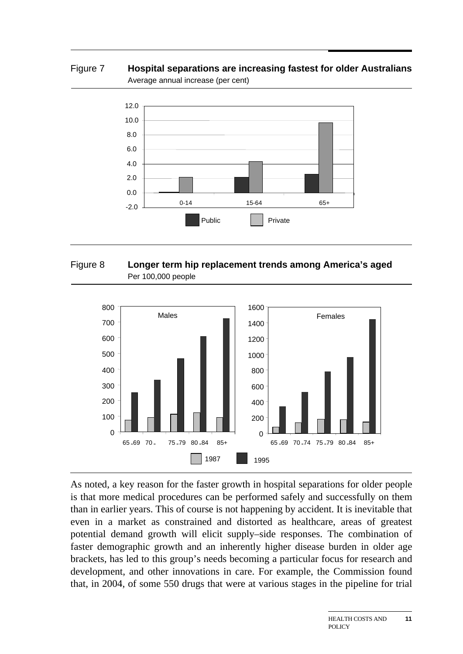Figure 7 **Hospital separations are increasing fastest for older Australians**  Average annual increase (per cent)



#### Figure 8 **Longer term hip replacement trends among America's aged**  Per 100,000 people



As noted, a key reason for the faster growth in hospital separations for older people is that more medical procedures can be performed safely and successfully on them than in earlier years. This of course is not happening by accident. It is inevitable that even in a market as constrained and distorted as healthcare, areas of greatest potential demand growth will elicit supply–side responses. The combination of faster demographic growth and an inherently higher disease burden in older age brackets, has led to this group's needs becoming a particular focus for research and development, and other innovations in care. For example, the Commission found that, in 2004, of some 550 drugs that were at various stages in the pipeline for trial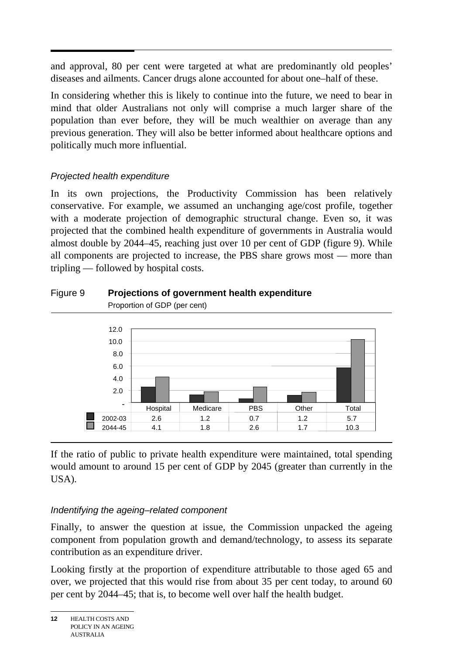and approval, 80 per cent were targeted at what are predominantly old peoples' diseases and ailments. Cancer drugs alone accounted for about one–half of these.

In considering whether this is likely to continue into the future, we need to bear in mind that older Australians not only will comprise a much larger share of the population than ever before, they will be much wealthier on average than any previous generation. They will also be better informed about healthcare options and politically much more influential.

# *Projected health expenditure*

In its own projections, the Productivity Commission has been relatively conservative. For example, we assumed an unchanging age/cost profile, together with a moderate projection of demographic structural change. Even so, it was projected that the combined health expenditure of governments in Australia would almost double by 2044–45, reaching just over 10 per cent of GDP (figure 9). While all components are projected to increase, the PBS share grows most — more than tripling — followed by hospital costs.

#### Figure 9 **Projections of government health expenditure**  Proportion of GDP (per cent)



If the ratio of public to private health expenditure were maintained, total spending would amount to around 15 per cent of GDP by 2045 (greater than currently in the USA).

# *Indentifying the ageing–related component*

Finally, to answer the question at issue, the Commission unpacked the ageing component from population growth and demand/technology, to assess its separate contribution as an expenditure driver.

Looking firstly at the proportion of expenditure attributable to those aged 65 and over, we projected that this would rise from about 35 per cent today, to around 60 per cent by 2044–45; that is, to become well over half the health budget.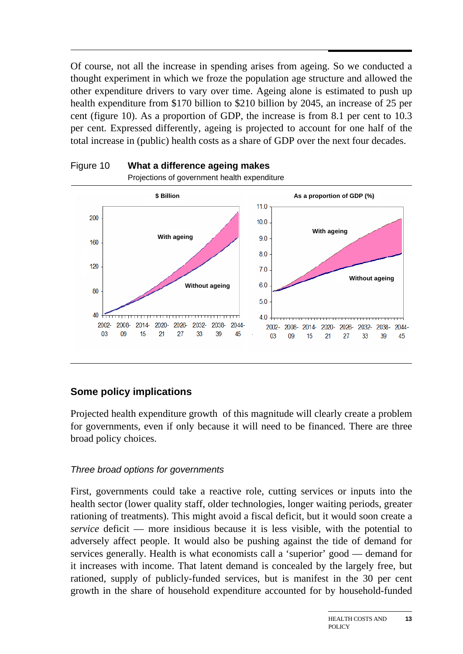$\overline{a}$ Of course, not all the increase in spending arises from ageing. So we conducted a thought experiment in which we froze the population age structure and allowed the other expenditure drivers to vary over time. Ageing alone is estimated to push up health expenditure from \$170 billion to \$210 billion by 2045, an increase of 25 per cent (figure 10). As a proportion of GDP, the increase is from 8.1 per cent to 10.3 per cent. Expressed differently, ageing is projected to account for one half of the total increase in (public) health costs as a share of GDP over the next four decades.





# **Some policy implications**

Projected health expenditure growth of this magnitude will clearly create a problem for governments, even if only because it will need to be financed. There are three broad policy choices.

# *Three broad options for governments*

First, governments could take a reactive role, cutting services or inputs into the health sector (lower quality staff, older technologies, longer waiting periods, greater rationing of treatments). This might avoid a fiscal deficit, but it would soon create a *service* deficit — more insidious because it is less visible, with the potential to adversely affect people. It would also be pushing against the tide of demand for services generally. Health is what economists call a 'superior' good — demand for it increases with income. That latent demand is concealed by the largely free, but rationed, supply of publicly-funded services, but is manifest in the 30 per cent growth in the share of household expenditure accounted for by household-funded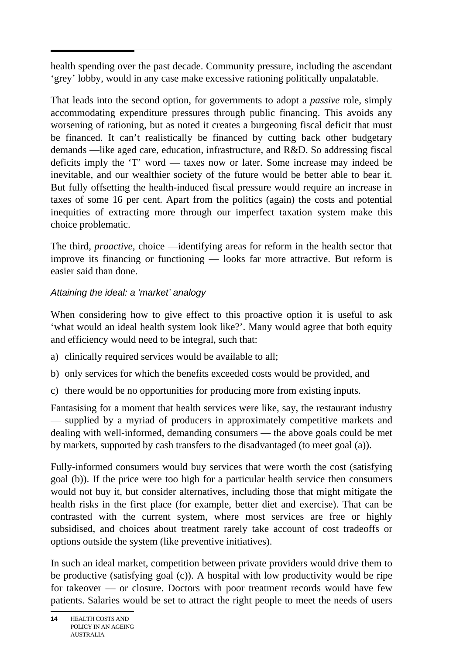$\overline{a}$ health spending over the past decade. Community pressure, including the ascendant 'grey' lobby, would in any case make excessive rationing politically unpalatable.

That leads into the second option, for governments to adopt a *passive* role, simply accommodating expenditure pressures through public financing. This avoids any worsening of rationing, but as noted it creates a burgeoning fiscal deficit that must be financed. It can't realistically be financed by cutting back other budgetary demands —like aged care, education, infrastructure, and R&D. So addressing fiscal deficits imply the 'T' word — taxes now or later. Some increase may indeed be inevitable, and our wealthier society of the future would be better able to bear it. But fully offsetting the health-induced fiscal pressure would require an increase in taxes of some 16 per cent. Apart from the politics (again) the costs and potential inequities of extracting more through our imperfect taxation system make this choice problematic.

The third, *proactive*, choice —identifying areas for reform in the health sector that improve its financing or functioning — looks far more attractive. But reform is easier said than done.

# *Attaining the ideal: a 'market' analogy*

When considering how to give effect to this proactive option it is useful to ask 'what would an ideal health system look like?'. Many would agree that both equity and efficiency would need to be integral, such that:

- a) clinically required services would be available to all;
- b) only services for which the benefits exceeded costs would be provided, and
- c) there would be no opportunities for producing more from existing inputs.

Fantasising for a moment that health services were like, say, the restaurant industry — supplied by a myriad of producers in approximately competitive markets and dealing with well-informed, demanding consumers — the above goals could be met by markets, supported by cash transfers to the disadvantaged (to meet goal (a)).

Fully-informed consumers would buy services that were worth the cost (satisfying goal (b)). If the price were too high for a particular health service then consumers would not buy it, but consider alternatives, including those that might mitigate the health risks in the first place (for example, better diet and exercise). That can be contrasted with the current system, where most services are free or highly subsidised, and choices about treatment rarely take account of cost tradeoffs or options outside the system (like preventive initiatives).

In such an ideal market, competition between private providers would drive them to be productive (satisfying goal (c)). A hospital with low productivity would be ripe for takeover — or closure. Doctors with poor treatment records would have few patients. Salaries would be set to attract the right people to meet the needs of users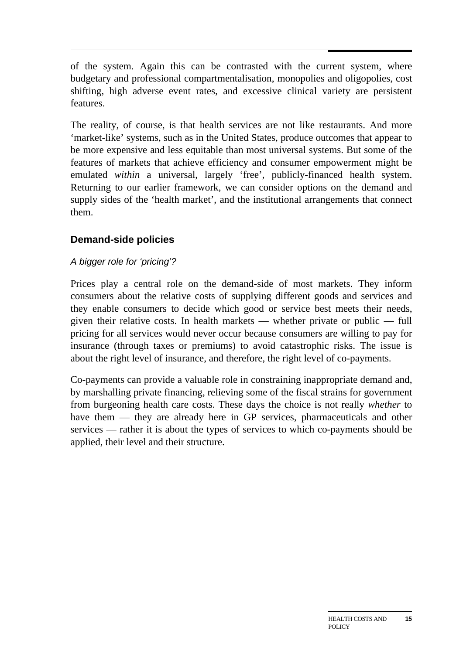of the system. Again this can be contrasted with the current system, where budgetary and professional compartmentalisation, monopolies and oligopolies, cost shifting, high adverse event rates, and excessive clinical variety are persistent features.

The reality, of course, is that health services are not like restaurants. And more 'market-like' systems, such as in the United States, produce outcomes that appear to be more expensive and less equitable than most universal systems. But some of the features of markets that achieve efficiency and consumer empowerment might be emulated *within* a universal, largely 'free', publicly-financed health system. Returning to our earlier framework, we can consider options on the demand and supply sides of the 'health market', and the institutional arrangements that connect them.

# **Demand-side policies**

# *A bigger role for 'pricing'?*

Prices play a central role on the demand-side of most markets. They inform consumers about the relative costs of supplying different goods and services and they enable consumers to decide which good or service best meets their needs, given their relative costs. In health markets — whether private or public — full pricing for all services would never occur because consumers are willing to pay for insurance (through taxes or premiums) to avoid catastrophic risks. The issue is about the right level of insurance, and therefore, the right level of co-payments.

Co-payments can provide a valuable role in constraining inappropriate demand and, by marshalling private financing, relieving some of the fiscal strains for government from burgeoning health care costs. These days the choice is not really *whether* to have them — they are already here in GP services, pharmaceuticals and other services — rather it is about the types of services to which co-payments should be applied, their level and their structure.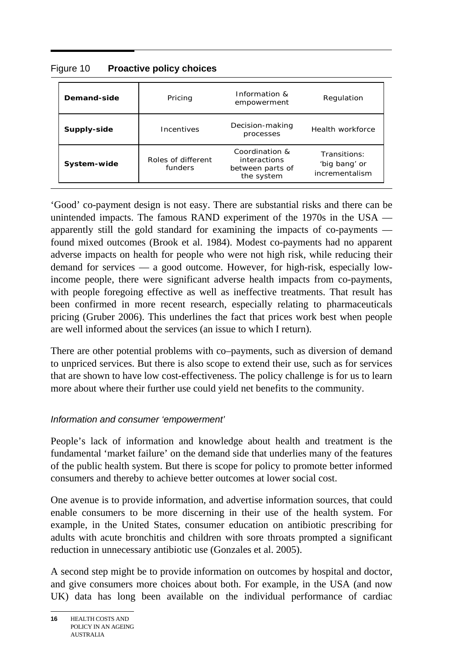| Demand-side | Pricing                                                                                           |  | Regulation                                      |  |
|-------------|---------------------------------------------------------------------------------------------------|--|-------------------------------------------------|--|
| Supply-side | Incentives                                                                                        |  | Health workforce                                |  |
| System-wide | Coordination &<br>Roles of different<br>interactions<br>funders<br>between parts of<br>the system |  | Transitions:<br>'big bang' or<br>incrementalism |  |

Figure 10 **Proactive policy choices** 

'Good' co-payment design is not easy. There are substantial risks and there can be unintended impacts. The famous RAND experiment of the 1970s in the USA apparently still the gold standard for examining the impacts of co-payments found mixed outcomes (Brook et al. 1984). Modest co-payments had no apparent adverse impacts on health for people who were not high risk, while reducing their demand for services — a good outcome. However, for high-risk, especially lowincome people, there were significant adverse health impacts from co-payments, with people foregoing effective as well as ineffective treatments. That result has been confirmed in more recent research, especially relating to pharmaceuticals pricing (Gruber 2006). This underlines the fact that prices work best when people are well informed about the services (an issue to which I return).

There are other potential problems with co–payments, such as diversion of demand to unpriced services. But there is also scope to extend their use, such as for services that are shown to have low cost-effectiveness. The policy challenge is for us to learn more about where their further use could yield net benefits to the community.

# *Information and consumer 'empowerment'*

People's lack of information and knowledge about health and treatment is the fundamental 'market failure' on the demand side that underlies many of the features of the public health system. But there is scope for policy to promote better informed consumers and thereby to achieve better outcomes at lower social cost.

One avenue is to provide information, and advertise information sources, that could enable consumers to be more discerning in their use of the health system. For example, in the United States, consumer education on antibiotic prescribing for adults with acute bronchitis and children with sore throats prompted a significant reduction in unnecessary antibiotic use (Gonzales et al. 2005).

A second step might be to provide information on outcomes by hospital and doctor, and give consumers more choices about both. For example, in the USA (and now UK) data has long been available on the individual performance of cardiac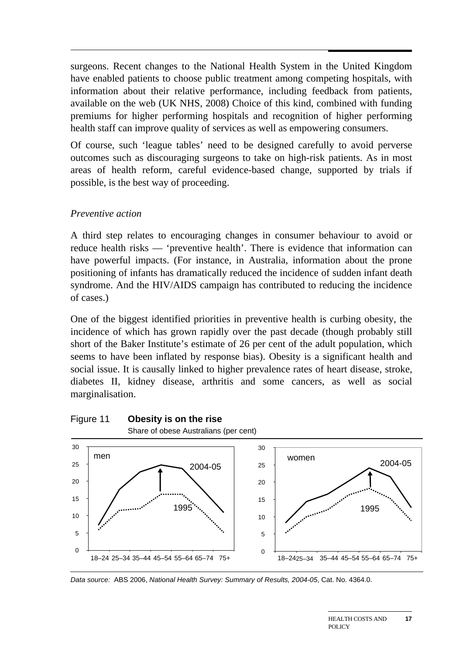surgeons. Recent changes to the National Health System in the United Kingdom have enabled patients to choose public treatment among competing hospitals, with information about their relative performance, including feedback from patients, available on the web (UK NHS, 2008) Choice of this kind, combined with funding premiums for higher performing hospitals and recognition of higher performing health staff can improve quality of services as well as empowering consumers.

Of course, such 'league tables' need to be designed carefully to avoid perverse outcomes such as discouraging surgeons to take on high-risk patients. As in most areas of health reform, careful evidence-based change, supported by trials if possible, is the best way of proceeding.

#### *Preventive action*

A third step relates to encouraging changes in consumer behaviour to avoid or reduce health risks — 'preventive health'. There is evidence that information can have powerful impacts. (For instance, in Australia, information about the prone positioning of infants has dramatically reduced the incidence of sudden infant death syndrome. And the HIV/AIDS campaign has contributed to reducing the incidence of cases.)

One of the biggest identified priorities in preventive health is curbing obesity, the incidence of which has grown rapidly over the past decade (though probably still short of the Baker Institute's estimate of 26 per cent of the adult population, which seems to have been inflated by response bias). Obesity is a significant health and social issue. It is causally linked to higher prevalence rates of heart disease, stroke, diabetes II, kidney disease, arthritis and some cancers, as well as social marginalisation.



*Data source:* ABS 2006, *National Health Survey: Summary of Results, 2004-05*, Cat. No. 4364.0.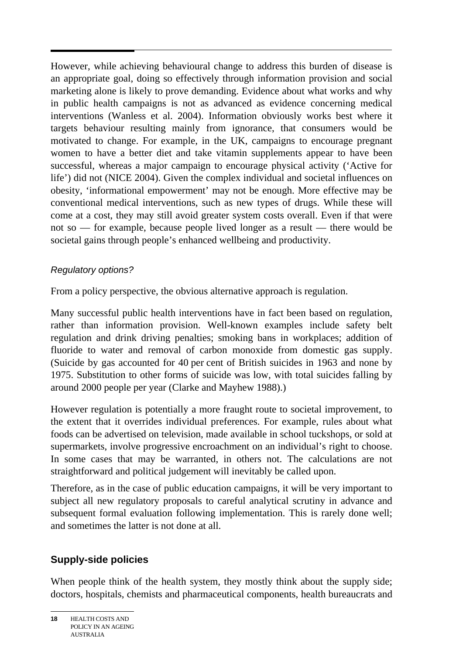$\overline{a}$ However, while achieving behavioural change to address this burden of disease is an appropriate goal, doing so effectively through information provision and social marketing alone is likely to prove demanding. Evidence about what works and why in public health campaigns is not as advanced as evidence concerning medical interventions (Wanless et al. 2004). Information obviously works best where it targets behaviour resulting mainly from ignorance, that consumers would be motivated to change. For example, in the UK, campaigns to encourage pregnant women to have a better diet and take vitamin supplements appear to have been successful, whereas a major campaign to encourage physical activity ('Active for life') did not (NICE 2004). Given the complex individual and societal influences on obesity, 'informational empowerment' may not be enough. More effective may be conventional medical interventions, such as new types of drugs. While these will come at a cost, they may still avoid greater system costs overall. Even if that were not so — for example, because people lived longer as a result — there would be societal gains through people's enhanced wellbeing and productivity.

## *Regulatory options?*

From a policy perspective, the obvious alternative approach is regulation.

Many successful public health interventions have in fact been based on regulation, rather than information provision. Well-known examples include safety belt regulation and drink driving penalties; smoking bans in workplaces; addition of fluoride to water and removal of carbon monoxide from domestic gas supply. (Suicide by gas accounted for 40 per cent of British suicides in 1963 and none by 1975. Substitution to other forms of suicide was low, with total suicides falling by around 2000 people per year (Clarke and Mayhew 1988).)

However regulation is potentially a more fraught route to societal improvement, to the extent that it overrides individual preferences. For example, rules about what foods can be advertised on television, made available in school tuckshops, or sold at supermarkets, involve progressive encroachment on an individual's right to choose. In some cases that may be warranted, in others not. The calculations are not straightforward and political judgement will inevitably be called upon.

Therefore, as in the case of public education campaigns, it will be very important to subject all new regulatory proposals to careful analytical scrutiny in advance and subsequent formal evaluation following implementation. This is rarely done well; and sometimes the latter is not done at all.

# **Supply-side policies**

When people think of the health system, they mostly think about the supply side; doctors, hospitals, chemists and pharmaceutical components, health bureaucrats and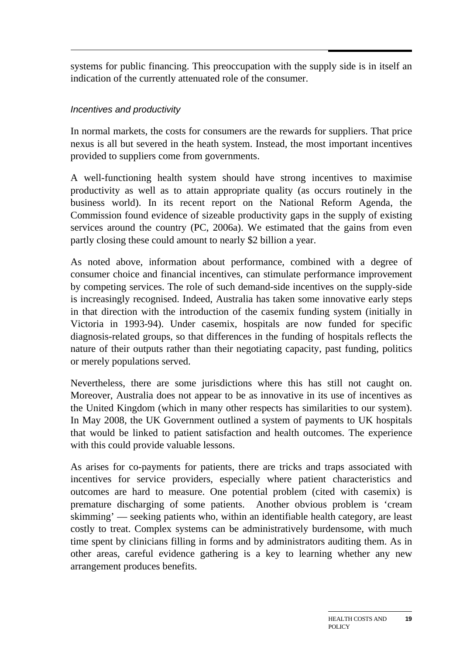systems for public financing. This preoccupation with the supply side is in itself an indication of the currently attenuated role of the consumer.

## *Incentives and productivity*

In normal markets, the costs for consumers are the rewards for suppliers. That price nexus is all but severed in the heath system. Instead, the most important incentives provided to suppliers come from governments.

A well-functioning health system should have strong incentives to maximise productivity as well as to attain appropriate quality (as occurs routinely in the business world). In its recent report on the National Reform Agenda, the Commission found evidence of sizeable productivity gaps in the supply of existing services around the country (PC, 2006a). We estimated that the gains from even partly closing these could amount to nearly \$2 billion a year.

As noted above, information about performance, combined with a degree of consumer choice and financial incentives, can stimulate performance improvement by competing services. The role of such demand-side incentives on the supply-side is increasingly recognised. Indeed, Australia has taken some innovative early steps in that direction with the introduction of the casemix funding system (initially in Victoria in 1993-94). Under casemix, hospitals are now funded for specific diagnosis-related groups, so that differences in the funding of hospitals reflects the nature of their outputs rather than their negotiating capacity, past funding, politics or merely populations served.

Nevertheless, there are some jurisdictions where this has still not caught on. Moreover, Australia does not appear to be as innovative in its use of incentives as the United Kingdom (which in many other respects has similarities to our system). In May 2008, the UK Government outlined a system of payments to UK hospitals that would be linked to patient satisfaction and health outcomes. The experience with this could provide valuable lessons.

As arises for co-payments for patients, there are tricks and traps associated with incentives for service providers, especially where patient characteristics and outcomes are hard to measure. One potential problem (cited with casemix) is premature discharging of some patients. Another obvious problem is 'cream skimming' — seeking patients who, within an identifiable health category, are least costly to treat. Complex systems can be administratively burdensome, with much time spent by clinicians filling in forms and by administrators auditing them. As in other areas, careful evidence gathering is a key to learning whether any new arrangement produces benefits.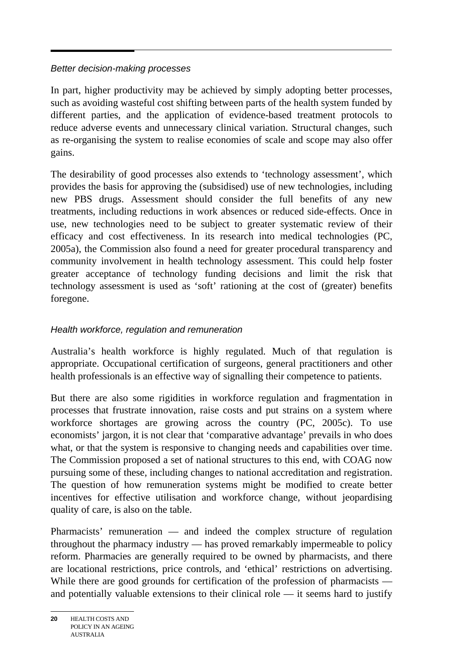#### *Better decision-making processes*

In part, higher productivity may be achieved by simply adopting better processes, such as avoiding wasteful cost shifting between parts of the health system funded by different parties, and the application of evidence-based treatment protocols to reduce adverse events and unnecessary clinical variation. Structural changes, such as re-organising the system to realise economies of scale and scope may also offer gains.

The desirability of good processes also extends to 'technology assessment', which provides the basis for approving the (subsidised) use of new technologies, including new PBS drugs. Assessment should consider the full benefits of any new treatments, including reductions in work absences or reduced side-effects. Once in use, new technologies need to be subject to greater systematic review of their efficacy and cost effectiveness. In its research into medical technologies (PC, 2005a), the Commission also found a need for greater procedural transparency and community involvement in health technology assessment. This could help foster greater acceptance of technology funding decisions and limit the risk that technology assessment is used as 'soft' rationing at the cost of (greater) benefits foregone.

## *Health workforce, regulation and remuneration*

Australia's health workforce is highly regulated. Much of that regulation is appropriate. Occupational certification of surgeons, general practitioners and other health professionals is an effective way of signalling their competence to patients.

But there are also some rigidities in workforce regulation and fragmentation in processes that frustrate innovation, raise costs and put strains on a system where workforce shortages are growing across the country (PC, 2005c). To use economists' jargon, it is not clear that 'comparative advantage' prevails in who does what, or that the system is responsive to changing needs and capabilities over time. The Commission proposed a set of national structures to this end, with COAG now pursuing some of these, including changes to national accreditation and registration. The question of how remuneration systems might be modified to create better incentives for effective utilisation and workforce change, without jeopardising quality of care, is also on the table.

Pharmacists' remuneration — and indeed the complex structure of regulation throughout the pharmacy industry — has proved remarkably impermeable to policy reform. Pharmacies are generally required to be owned by pharmacists, and there are locational restrictions, price controls, and 'ethical' restrictions on advertising. While there are good grounds for certification of the profession of pharmacists and potentially valuable extensions to their clinical role — it seems hard to justify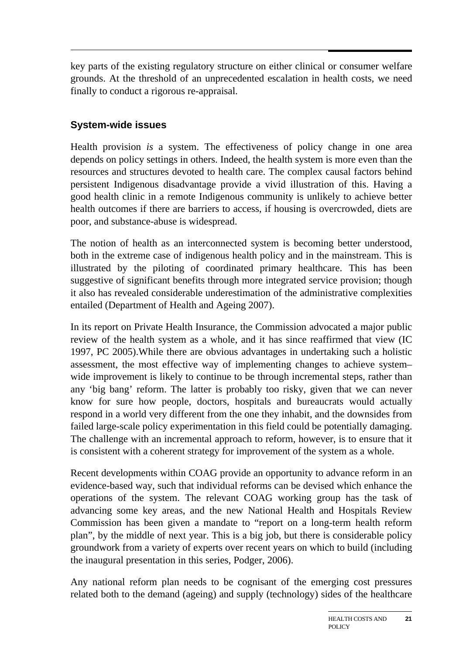$\overline{a}$ key parts of the existing regulatory structure on either clinical or consumer welfare grounds. At the threshold of an unprecedented escalation in health costs, we need finally to conduct a rigorous re-appraisal.

# **System-wide issues**

Health provision *is* a system. The effectiveness of policy change in one area depends on policy settings in others. Indeed, the health system is more even than the resources and structures devoted to health care. The complex causal factors behind persistent Indigenous disadvantage provide a vivid illustration of this. Having a good health clinic in a remote Indigenous community is unlikely to achieve better health outcomes if there are barriers to access, if housing is overcrowded, diets are poor, and substance-abuse is widespread.

The notion of health as an interconnected system is becoming better understood, both in the extreme case of indigenous health policy and in the mainstream. This is illustrated by the piloting of coordinated primary healthcare. This has been suggestive of significant benefits through more integrated service provision; though it also has revealed considerable underestimation of the administrative complexities entailed (Department of Health and Ageing 2007).

In its report on Private Health Insurance, the Commission advocated a major public review of the health system as a whole, and it has since reaffirmed that view (IC 1997, PC 2005).While there are obvious advantages in undertaking such a holistic assessment, the most effective way of implementing changes to achieve system– wide improvement is likely to continue to be through incremental steps, rather than any 'big bang' reform. The latter is probably too risky, given that we can never know for sure how people, doctors, hospitals and bureaucrats would actually respond in a world very different from the one they inhabit, and the downsides from failed large-scale policy experimentation in this field could be potentially damaging. The challenge with an incremental approach to reform, however, is to ensure that it is consistent with a coherent strategy for improvement of the system as a whole.

Recent developments within COAG provide an opportunity to advance reform in an evidence-based way, such that individual reforms can be devised which enhance the operations of the system. The relevant COAG working group has the task of advancing some key areas, and the new National Health and Hospitals Review Commission has been given a mandate to "report on a long-term health reform plan", by the middle of next year. This is a big job, but there is considerable policy groundwork from a variety of experts over recent years on which to build (including the inaugural presentation in this series, Podger, 2006).

Any national reform plan needs to be cognisant of the emerging cost pressures related both to the demand (ageing) and supply (technology) sides of the healthcare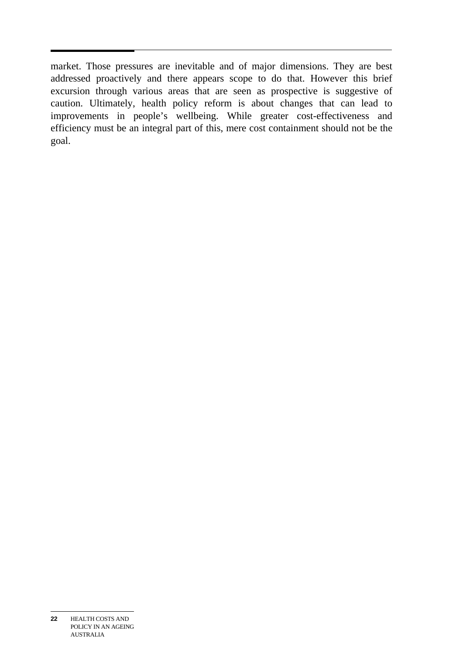market. Those pressures are inevitable and of major dimensions. They are best addressed proactively and there appears scope to do that. However this brief excursion through various areas that are seen as prospective is suggestive of caution. Ultimately, health policy reform is about changes that can lead to improvements in people's wellbeing. While greater cost-effectiveness and efficiency must be an integral part of this, mere cost containment should not be the goal.

**<sup>22</sup>** HEALTH COSTS AND POLICY IN AN AGEING AUSTRALIA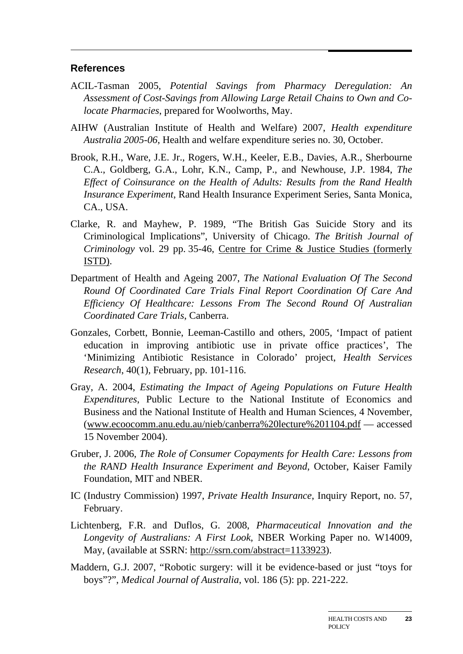#### **References**

- ACIL-Tasman 2005, *Potential Savings from Pharmacy Deregulation: An Assessment of Cost-Savings from Allowing Large Retail Chains to Own and Colocate Pharmacies*, prepared for Woolworths, May.
- AIHW (Australian Institute of Health and Welfare) 2007, *Health expenditure Australia 2005-06*, Health and welfare expenditure series no. 30, October.
- Brook, R.H., Ware, J.E. Jr., Rogers, W.H., Keeler, E.B., Davies, A.R., Sherbourne C.A., Goldberg, G.A., Lohr, K.N., Camp, P., and Newhouse, J.P. 1984, *The Effect of Coinsurance on the Health of Adults: Results from the Rand Health Insurance Experiment*, Rand Health Insurance Experiment Series, Santa Monica, CA., USA.
- Clarke, R. and Mayhew, P. 1989, "The British Gas Suicide Story and its Criminological Implications", University of Chicago. *The British Journal of Criminology* vol. 29 pp. 35-46, Centre for Crime & Justice Studies (formerly ISTD).
- Department of Health and Ageing 2007, *The National Evaluation Of The Second Round Of Coordinated Care Trials Final Report Coordination Of Care And Efficiency Of Healthcare: Lessons From The Second Round Of Australian Coordinated Care Trials*, Canberra.
- Gonzales, Corbett, Bonnie, Leeman-Castillo and others, 2005, 'Impact of patient education in improving antibiotic use in private office practices', The 'Minimizing Antibiotic Resistance in Colorado' project, *Health Services Research*, 40(1), February, pp. 101-116.
- Gray, A. 2004, *Estimating the Impact of Ageing Populations on Future Health Expenditures*, Public Lecture to the National Institute of Economics and Business and the National Institute of Health and Human Sciences, 4 November, (www.ecoocomm.anu.edu.au/nieb/canberra%20lecture%201104.pdf — accessed 15 November 2004).
- Gruber, J. 2006, *The Role of Consumer Copayments for Health Care: Lessons from the RAND Health Insurance Experiment and Beyond*, October, Kaiser Family Foundation, MIT and NBER.
- IC (Industry Commission) 1997, *Private Health Insurance*, Inquiry Report, no. 57, February.
- Lichtenberg, F.R. and Duflos, G. 2008, *Pharmaceutical Innovation and the Longevity of Australians: A First Look*, NBER Working Paper no. W14009, May, (available at SSRN: http://ssrn.com/abstract=1133923).
- Maddern, G.J. 2007, "Robotic surgery: will it be evidence-based or just "toys for boys"?", *Medical Journal of Australia*, vol. 186 (5): pp. 221-222.